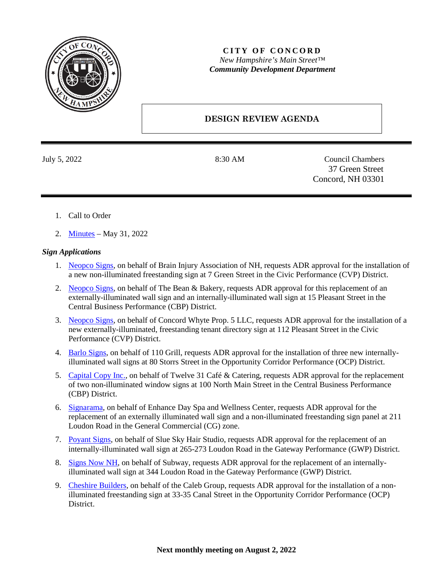

## **CITY OF CONCORD** *New Hampshire's Main Street™ Community Development Department*

## **DESIGN REVIEW AGENDA**

July 5, 2022 8:30 AM Council Chambers 37 Green Street Concord, NH 03301

- 1. Call to Order
- 2. [Minutes](https://www.concordnh.gov/Archive.aspx?ADID=6004) May 31, 2022

## *Sign Applications*

- 1. [Neopco Signs,](https://www.concordnh.gov/DocumentCenter/View/18876/7-Green-St---Brain-Injury-Assn---1-sign-for-ADR) on behalf of Brain Injury Association of NH, requests ADR approval for the installation of a new non-illuminated freestanding sign at 7 Green Street in the Civic Performance (CVP) District.
- 2. [Neopco Signs,](https://www.concordnh.gov/DocumentCenter/View/18877/15-Pleasant-St---Bean-Bakery---2-for-ADR) on behalf of The Bean & Bakery, requests ADR approval for this replacement of an externally-illuminated wall sign and an internally-illuminated wall sign at 15 Pleasant Street in the Central Business Performance (CBP) District.
- 3. [Neopco Signs,](https://www.concordnh.gov/DocumentCenter/View/18880/112-Pleasant-St---Tenant-Directory---1-sign-for-ADR) on behalf of Concord Whyte Prop. 5 LLC, requests ADR approval for the installation of a new externally-illuminated, freestanding tenant directory sign at 112 Pleasant Street in the Civic Performance (CVP) District.
- 4. [Barlo Signs,](https://www.concordnh.gov/DocumentCenter/View/18878/80-Storrs-St---110-Grill---3-for-ADR) on behalf of 110 Grill, requests ADR approval for the installation of three new internallyilluminated wall signs at 80 Storrs Street in the Opportunity Corridor Performance (OCP) District.
- 5. [Capital Copy Inc.,](https://www.concordnh.gov/DocumentCenter/View/18879/100-N-Main-St---Twelve-31---2-signs-for-ADR) on behalf of Twelve 31 Café & Catering, requests ADR approval for the replacement of two non-illuminated window signs at 100 North Main Street in the Central Business Performance (CBP) District.
- 6. [Signarama,](https://www.concordnh.gov/DocumentCenter/View/18872/211-Loudon-Rd---Enhance-Day-Spa---2-signs-for-ADR) on behalf of Enhance Day Spa and Wellness Center, requests ADR approval for the replacement of an externally illuminated wall sign and a non-illuminated freestanding sign panel at 211 Loudon Road in the General Commercial (CG) zone.
- 7. [Poyant Signs,](https://www.concordnh.gov/DocumentCenter/View/18873/273-Loudon---Blue-Sky---1-Sign-for-ADR) on behalf of Slue Sky Hair Studio, requests ADR approval for the replacement of an internally-illuminated wall sign at 265-273 Loudon Road in the Gateway Performance (GWP) District.
- 8. [Signs Now NH,](https://www.concordnh.gov/DocumentCenter/View/18874/344-Loudon-Rd---Subway---1-for-ADR) on behalf of Subway, requests ADR approval for the replacement of an internallyilluminated wall sign at 344 Loudon Road in the Gateway Performance (GWP) District.
- 9. [Cheshire Builders,](https://www.concordnh.gov/DocumentCenter/View/18875/Penacook-Landing-Exterior-Sign) on behalf of the Caleb Group, requests ADR approval for the installation of a nonilluminated freestanding sign at 33-35 Canal Street in the Opportunity Corridor Performance (OCP) District.